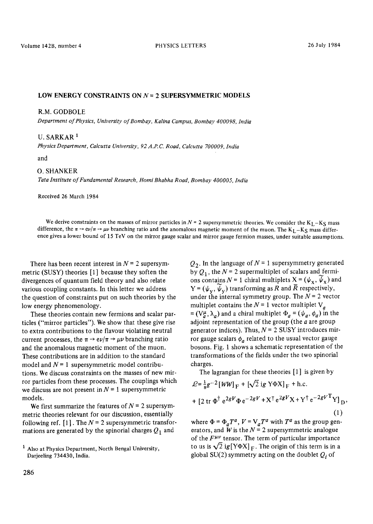## LOW ENERGY CONSTRAINTS ON  $N = 2$  SUPERSYMMETRIC MODELS

### R.M. GODBOLE

*Department of Physics, University of Bombay, Kalina Campus, Bombay 400098, India* 

# U. SARKAR<sup>1</sup>

*Physics Department, Calcutta University, 92 A.P.C. Road, Calcutta 700009, India* 

and

## O. SHANKER

*Tata Institute of Fundamental Research, Homi Bhabha Road, Bombay 400005, India* 

Received 26 March 1984

We derive constraints on the masses of mirror particles in  $N = 2$  supersymmetric theories. We consider the K<sub>L</sub>-K<sub>S</sub> mass difference, the  $\pi \to e \nu/\pi \to \mu \nu$  branching ratio and the anomalous magnetic moment of the muon. The K<sub>L</sub>-K<sub>S</sub> mass difference gives a lower bound of 15 TeV on the mirror gauge scalar and mirror gauge fermion masses, under suitable assumptions.

There has been recent interest in  $N = 2$  supersymmetric (SUSY) theories [1] because they soften the divergences of quantum field theory and also relate various coupling constants. In this letter we address the question of constraints put on such theories by the low energy phenomenology.

These theories contain new fermions and scalar particles ("mirror particles"). We show that these give rise to extra contributions to the flavour violating neutral current processes, the  $\pi \rightarrow e\nu/\pi \rightarrow \mu\nu$  branching ratio and the anomalous magnetic moment of the muon. These contributions are in addition to the standard model and  $N = 1$  supersymmetric model contributions. We discuss constraints on the masses of new mirror particles from these processes. The couplings which we discuss are not present in  $N = 1$  supersymmetric models.

We first summarize the features of  $N = 2$  supersymmetric theories relevant for our discussion, essentially following ref.  $[1]$ . The  $N = 2$  supersymmetric transformations are generated by the spinorial charges  $Q_1$  and

 $Q<sub>2</sub>$ . In the language of  $N = 1$  supersymmetry generated by  $Q_1$ , the  $N = 2$  supermultiplet of scalars and fermions contains  $N = 1$  chiral multiplets  $X = (\psi_X, \widetilde{\psi}_X)$  and  $Y = (\psi_v, \psi_v)$  transforming as R and  $\bar{R}$  respectively, under the internal symmetry group. The  $N = 2$  vector multiplet contains the  $N = 1$  vector multiplet  $V_a$  $=(V_a^{\mu}, \lambda_a)$  and a chiral multiplet  $\Phi_a = (\psi_a, \phi_a)$  in the adjoint representation of the group (the  $a$  are group generator indices). Thus,  $N = 2$  SUSY introduces mirror gauge scalars  $\phi_a$  related to the usual vector gauge bosons. Fig. 1 shows a schematic representation of the transformations of the fields under the two spinorial charges.

The lagrangian for these theories [1] is given by

$$
\mathcal{L} = \frac{1}{8}g^{-2}[WW]_{F} + [\sqrt{2}igY\Phi X]_{F} + \text{h.c.}
$$
  
+ 
$$
[2 \text{ tr } \Phi^{\dagger} e^{2gV} \Phi e^{-2gV} + X^{\dagger} e^{2gV} X + Y^{\dagger} e^{-2gV}^{\text{T}} Y]_{D},
$$

$$
(1)
$$

where  $\Phi = \Phi_a T^a$ ,  $V = V_a T^a$  with  $T^a$  as the group generators, and  $\hat{W}$  is the  $N = 2$  supersymmetric analogue of the  $F^{\mu\nu}$  tensor. The term of particular importance to us is  $\sqrt{2}$  ig[Y $\Phi X|_F$ . The origin of this term is in a global SU(2) symmetry acting on the doublet  $Q_i$  of

 $<sup>1</sup>$  Also at Physics Department, North Bengal University,</sup> Darjeeling 734430, India.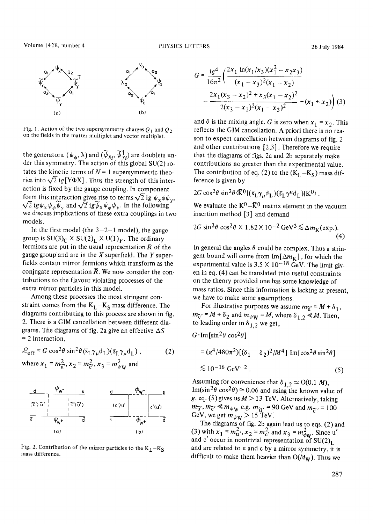

Fig. 1. Action of the two supersymmetry charges  $Q_1$  and  $Q_2$ on the fields in the matter multiplet and vector multiplet.

the generators.  $(\psi_{\alpha}, \lambda)$  and  $(\psi_{X_i}, \psi_{Y_i})$  are doublets under this symmetry. The action of this global SU(2) rotates the kinetic terms of  $N = 1$  supersymmetric theories into  $\sqrt{2}$  ig[Y $\Phi$ X]. Thus the strength of this interaction is fixed by the gauge coupling. In component form this interaction gives rise to terms  $\sqrt{2}$  ig  $\psi_x \phi \psi_y$ ,  $\sqrt{2}$  ig $\psi_x \psi_\phi \widetilde{\psi}_y$  and  $\sqrt{2}$  ig $\widetilde{\psi}_x \psi_\phi \psi_y$ . In the following we discuss implications of these extra couplings in two models.

In the first model (the  $3-2-1$  model), the gauge group is  $SU(3)_C \times SU(2)_L \times U(1)_Y$ . The ordinary fermions are put in the usual representation  $R$  of the gauge group and are in the  $X$  superfield. The  $Y$  superfields contain mirror fermions which transform as the conjugate representation  $\overline{R}$ . We now consider the contributions to the flavour violating processes of the extra mirror particles in this model.

Among these processes the most stringent constraint comes from the  $K_L - K_S$  mass difference. The diagrams contributing to this process are shown in fig. 2. There is a GIM cancellation between different diagrams. The diagrams of fig. 2a give an effective  $\Delta S$ = 2 interaction,

$$
\mathcal{L}_{eff} = G \cos^2 \theta \sin^2 \theta (\tilde{s}_L \gamma_\mu d_L) (\tilde{s}_L \gamma_\mu d_L),
$$
\nwhere  $x_1 = m_{\tilde{u}}^2$ ,  $x_2 = m_{\tilde{c}}^2$ ,  $x_3 = m_{\psi}^2$  and



Fig. 2. Contribution of the mirror particles to the  $K_L - K_S$ mass difference.

$$
G = \frac{ig^4}{16\pi^2} \left( \frac{2x_1 \ln(x_1/x_3)(x_1^2 - x_2x_3)}{(x_1 - x_3)^2 (x_1 - x_2)} - \frac{2x_1(x_3 - x_2)^2 + x_3(x_1 - x_2)^2}{2(x_3 - x_2)^2 (x_1 - x_3)^2} + (x_1 \le x_2) \right)
$$
(3)

and  $\theta$  is the mixing angle. G is zero when  $x_1 = x_2$ . This reflects the GIM cancellation. A priori there is no reason to expect cancellation between diagrams of fig. 2 and other contributions [2,3]. Therefore we require that the diagrams of figs. 2a and 2b separately make contributions no greater than the experimental value. The contribution of eq. (2) to the  $(K_L - K_S)$  mass difference is given by

$$
2G\cos^2\theta\sin^2\theta\langle \bar{K}^0|(\bar{s}_L\gamma_\mu d_L)(\bar{s}_L\gamma^\mu d_L)|K^0\rangle.
$$

We evaluate the  $K^0-\bar{K}^0$  matrix element in the vacuum insertion method [3] and demand

$$
2G \sin^2 \theta \cos^2 \theta \times 1.82 \times 10^{-2} \,\text{GeV}^3 \lesssim \Delta m_\text{K}(\text{exp.}).
$$
\n(4)

In general the angles  $\theta$  could be complex. Thus a stringent bound will come from  $\text{Im}[\Delta m_K]$ , for which the experimental value is  $3.5 \times 10^{-18}$  GeV. The limit given in eq. (4) can be translated into useful constraints on the theory provided one has some knowledge of mass ratios. Since this information is lacking at present, we have to make some assumptions.

For illustrative purposes we assume  $m_{\widetilde{\mathfrak{u}}} = M + \delta_1$ ,  $m_{\widetilde{C}} = M + \delta_2$  and  $m_{\psi W} = M$ , where  $\delta_{1,2} \ll M$ . Then, to leading order in  $\delta_{1,2}$  we get,

$$
G\cdot \text{Im}\left[\sin^2\theta\,\cos^2\theta\right]
$$

$$
= (g4/480\pi2)[(\delta1 - \delta2)2/M4] Im[cos2\theta sin2\theta]
$$
  
  $\lesssim 10^{-16} \text{ GeV}^{-2}$  (5)

Assuming for convenience that  $\delta_{1,2} \simeq O(0.1 M)$ , Im(sin<sup>2</sup> $\theta$  cos<sup>2</sup> $\theta$ )  $\approx$  0.06 and using the known value of g, eq. (5) gives us  $M>13$  TeV. Alternatively, taking  $m_{\widetilde{\mathbf{u}}}, m_{\widetilde{\mathbf{c}}'} \leq m_{\psi \mathbf{W}}$  e.g.  $m_{\widetilde{\mathbf{u}}'} = 90 \text{ GeV}$  and  $m_{\widetilde{\mathbf{c}}'} = 100$ GeV, we get  $m_{\psi W} > 15$  TeV.

The diagrams of fig. 2b again lead us to eqs. (2) and (3) with  $x_1 = m_u^2$ ,  $x_2 = m_c^2$ , and  $x_3 = m_{\text{out}}^2$ . Since u' and c' occur in nontrivial representation of  $SU(2)_L$ and are related to u and c by a mirror symmetry, it is difficult to make them heavier than  $O(M_W)$ . Thus we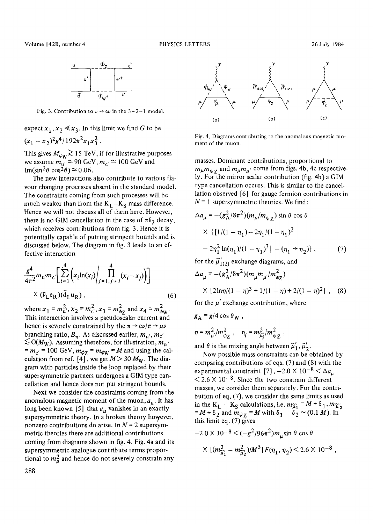

Fig. 3. Contribution to  $\pi \rightarrow e\nu$  in the 3-2-1 model.

expect  $x_1, x_2 \le x_3$ . In this limit we find G to be  $(x_1 - x_2)^2 g^4 / 192 \pi^2 x_1 x_3^2$ .

This gives  $M_{\phi_{\text{W}}} \gtrsim 15 \text{ TeV}$ , if for illustrative purposes we assume  $m_{\rm u}$   $\approx$  90 GeV,  $m_{\rm c}$   $\approx$  100 GeV and Im(sin<sup>2</sup> $\theta$  cos<sup>2</sup> $\theta$ )  $\approx$  0.06.

The new interactions also contribute to various flayour changing processes absent in the standard model. The constraints coming from such processes will be much weaker than from the  $K_1 - K_S$  mass difference. Hence we will not discuss all of them here. However, there is no GIM cancellation in the case of  $\pi l_2$  decay, which receives contributions from fig. 3. Hence it is potentially capable of putting stringent bounds and is discussed below. The diagram in fig. 3 leads to an effective interaction

$$
\frac{g^4}{4\pi^2} m_{\mathbf{u}'} m_{\mathbf{c}'} \left[ \sum_{i=1}^4 \left( x_i \ln(x_i) \middle| \prod_{j=1, j \neq i}^4 (x_i - x_j) \right) \right]
$$
  
 
$$
\times (\bar{v}_L e_R) (\bar{d}_L u_R), \qquad (6)
$$

where  $x_1 = m_{\rm u}^2$ ,  $x_2 = m_{\rm c}^2$ ,  $x_3 = m_{\rm g}^2$  and  $x_4 = m_{\rm gav}^2$ . This interaction involves a pseudoscalar current and hence is severely constrained by the  $\pi \rightarrow e \nu / \pi \rightarrow \mu \nu$ branching ratio,  $B_{\pi}$ . As discussed earlier,  $m_{\rm u}$ ,  $m_{\rm c'}$  $\lesssim$  O(M<sub>W</sub>). Assuming therefore, for illustration,  $m_{\rm u'}$  $= m_{\rm c'} = 100$  GeV,  $m_{\phi Z} = m_{\phi W} = M$  and using the calculation from ref. [4], we get  $M > 30 M_W$ . The diagram with particles inside the loop replaced by their supersymmetric partners undergoes a GIM type cancellation and hence does not put stringent bounds.

Next we consider the constraints coming from the anomalous magnetic moment of the muon,  $a_{\mu}$ . It has long been known [5] that  $a<sub>u</sub>$  vanishes in an exactly supersymmetric theory. In a broken theory however, nonzero contributions do arise. In  $N = 2$  supersymmetric theories there are additional contributions coming from diagrams shown in fig. 4. Fig. 4a and its supersymmetric analogue contribute terms proportional to  $m<sub>u</sub><sup>2</sup>$  and hence do not severely constrain any



Fig. 4. Diagrams contributing to the anomalous magnetic moment of the muon.

masses. Dominant contributions, proportional to  $m_{\mu}m_{\psi}$  and  $m_{\mu}m_{\mu'}$  come from figs. 4b, 4c respectively. For the mirror scalar contribution (fig. 4b) a GIM type cancellation occurs. This is similar to the cancellation observed [6] for gauge fermion contributions in  $N = 1$  supersymmetric theories. We find:

$$
\Delta a_{\mu} = -(g_{\text{A}}^2/8\pi^2)(m_{\mu}/m_{\psi Z}) \sin \theta \cos \theta
$$
  
 
$$
\times \{ [1/(1 - \eta_1) - 2\eta_1/(1 - \eta_1)^2 - 2\eta_1^2 \ln(\eta_1)/(1 - \eta_1)^3] - (\eta_1 \to \eta_2) \},
$$
 (7)  
for the  $\tilde{\mu}'_{1(2)}$  exchange diagrams, and

$$
\Delta a_{\mu} = -(g_A^2/8\pi^2)(m_{\mu}m_{\mu}/m_{\phi Z}^2)
$$
  
× [2ln $\eta$ /(1 –  $\eta$ )<sup>3</sup> + 1/(1 –  $\eta$ ) + 2/(1 –  $\eta$ )<sup>2</sup>], (8)

for the  $\mu'$  exchange contribution, where

$$
g_{\rm A} = g/4 \cos \theta_{\rm W} ,
$$

 $\eta = m_{\mu}^2/m_{\phi Z}^2$ ,  $\eta_i = m_{\tilde{\mu}_i}^2/m_{\psi Z}^2$ ,

and  $\theta$  is the mixing angle between  $\tilde{\mu}'_1$ ,  $\tilde{\mu}'_2$ .

Now possible mass constraints can be obtained by comparing contributions of eqs. (7) and (8) with the experimental constraint [7],  $-2.0 \times 10^{-8} < \Delta a_{\mu}$  $<$  2.6  $\times$  10<sup>-8</sup>. Since the two constrain different masses, we consider them separately. For the contribution of eq. (7), we consider the same limits as used in the K<sub>L</sub> - K<sub>S</sub> calculations, i.e.  $m_{\tilde{\mu}_1} = M + \delta_1$ ,  $m_{\tilde{\mu}_2}$  $=M+\delta_2$  and  $m_{\psi Z} = M$  with  $\delta_1 - \delta_2 \sim (0.1 M)$ . In this limit eq. (7) gives

$$
-2.0 \times 10^{-8} < (-g^2/96\pi^2) m_\mu \sin \theta \cos \theta
$$
  
 
$$
\times [(m_{\tilde{\mu}_1}^2 - m_{\tilde{\mu}_2}^2)/M^3] F(\eta_1, \eta_2) < 2.6 \times 10^{-8},
$$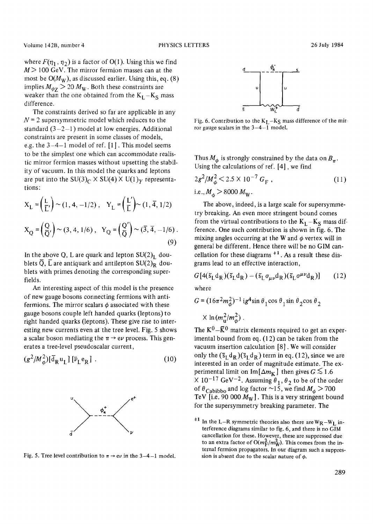where  $F(\eta_1, \eta_2)$  is a factor of O(1). Using this we find  $M$  > 100 GeV. The mirror fermion masses can at the most be  $O(M_W)$ , as discussed earlier. Using this, eq. (8) implies  $M_{\phi z} > 20 M_W$ . Both these constraints are weaker than the one obtained from the  $K_L - K_S$  mass difference.

The constraints derived so far are applicable in any  $N = 2$  supersymmetric model which reduces to the standard  $(3-2-1)$  model at low energies. Additional constraints are present in some classes of models, e.g. the 3-4-1 model of ref. [1]. This model seems to be the simplest one which can accommodate realistic mirror fermion masses without upsetting the stability of vacuum. In this model the quarks and leptons are put into the  $SU(3)_C \times SU(4) \times U(1)_Y$  representations:

$$
X_{L} = \left(\frac{L}{L'}\right) \sim (1, 4, -1/2), \quad Y_{L} = \left(\frac{L'}{L}\right) \sim (1, \overline{4}, 1/2)
$$

$$
X_{Q} = \left(\frac{Q}{Q'}\right) \sim (3, 4, 1/6), \quad Y_{Q} = \left(\frac{Q'}{Q}\right) \sim (\overline{3}, \overline{4}, -1/6).
$$
(9)

In the above Q, L are quark and lepton  $SU(2)_L$  doublets  $\overline{Q}$ ,  $\overline{L}$  are antiquark and antilepton SU(2)<sub>R</sub> doublets with primes denoting the corresponding superfields.

An interesting aspect of this model is the presence of new gauge bosons connecting fermions with antifermions. The mirror scalars  $\phi$  associated with these gauge bosons couple left handed quarks (leptons) to right handed quarks (leptons). These give rise to interesting new currents even at the tree level. Fig. 5 shows a scalar boson mediating the  $\pi \rightarrow e\nu$  process. This generates a tree-level pseudoscalar current,

$$
(g^2/M_\phi^2)[\bar{d}_R u_L] [\bar{\nu}_L e_R]. \qquad (10)
$$



Fig. 5. Tree level contribution to  $\pi \rightarrow e \nu$  in the 3-4-1 model.



Fig. 6. Contribution to the  $K_L - K_S$  mass difference of the mirror gauge scalars in the  $3-4-1$  model.

Thus  $M_{\phi}$  is strongly constrained by the data on  $B_{\pi}$ . Using the calculations of ref. [4], we find

$$
2g^2/M_{\phi}^2 < 2.5 \times 10^{-7} G_{\rm F} ,
$$
  
i.e.,  $M_{\phi} > 8000 M_{\rm W} .$  (11)

The above, indeed, is a large scale for supersymmetry breaking. An even more stringent bound comes from the virtual contributions to the  $K_1-K_S$  mass difference. One such contribution is shown in fig. 6. The mixing angles occurring at the W and  $\phi$  vertex will in general be different. Hence there will be no GIM cancellation for these diagrams  $*1$ . As a result these diagrams lead to an effective interaction,

$$
G[4(\bar{s}_L d_R)(\bar{s}_L d_R) - (\bar{s}_L \sigma_{\mu\nu} d_R)(\bar{s}_L \sigma^{\mu\nu} d_R)] \qquad (12)
$$

where

$$
G = (16\pi^2 m_{\phi}^2)^{-1} i g^4 \sin \theta_1 \cos \theta_1 \sin \theta_2 \cos \theta_2
$$
  
 
$$
\times \ln(m_{\phi}^2/m_{\phi}^2).
$$

The  $K^0$ - $\bar{K}^0$  matrix elements required to get an experimental bound from eq. (12) can be taken from the vacuum insertion calculation [8]. We will consider only the  $(\bar{s}_L d_R)(\bar{s}_L d_R)$  term in eq. (12), since we are interested in an order of magnitude estimate. The experimental limit on Im  $\lfloor \Delta m_K \rfloor$  then gives  $G \lesssim 1.6$  $\times$  10<sup>-17</sup> GeV<sup>-2</sup>. Assuming  $\theta_1, \theta_2$  to be of the order of  $\theta_{\text{Cabbibo}}$  and log factor ~15, we find  $M_{\phi} > 700$ TeV [i.e. 90 000  $M_W$ ]. This is a very stringent bound for the supersymmetry breaking parameter. The

<sup>&</sup>lt;sup>#1</sup> In the L-R symmetric theories also there are  $W_R-W_l$  interference diagrams similar to fig. 6, and there is no GIM cancellation for these. However, these are suppressed due to an extra factor of  $O(m_F^2/m_W^2)$ . This comes from the internal fermion propagators. In our diagram such a suppression is absent due to the scalar nature of  $\phi$ .